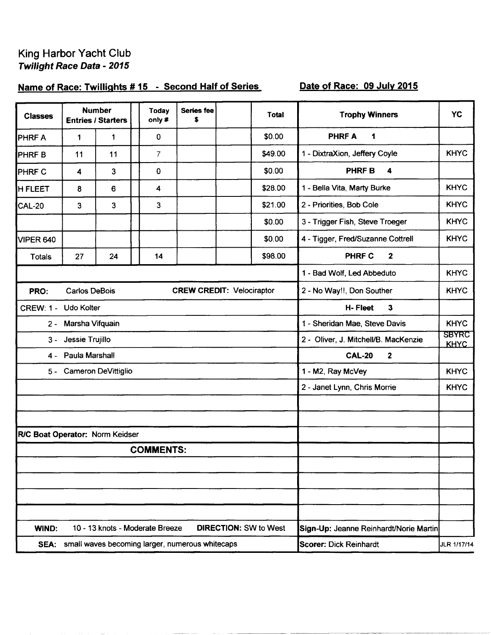## King Harbor Yacht Club Twilight Race Data - 2015

## Name of Race: Twillights #15 - Second Half of Series

## Date of Race: 09 July 2015

| <b>Classes</b>                  |                      | <b>Number</b><br><b>Entries / Starters</b> | <b>Today</b><br>only#           | <b>Series fee</b><br>\$                              | <b>Total</b>                 | <b>Trophy Winners</b>                  | <b>YC</b>                   |
|---------------------------------|----------------------|--------------------------------------------|---------------------------------|------------------------------------------------------|------------------------------|----------------------------------------|-----------------------------|
| <b>PHRFA</b>                    | 1                    | 1                                          | 0                               |                                                      | \$0.00                       | <b>PHRFA</b><br>1                      |                             |
| <b>PHRFB</b>                    | 11                   | 11                                         | $\overline{7}$                  |                                                      | \$49.00                      | 1 - DixtraXion, Jeffery Coyle          | <b>KHYC</b>                 |
| <b>PHRF C</b>                   | 4                    | 3                                          | 0                               |                                                      | \$0.00                       | <b>PHRFB</b><br>4                      |                             |
| <b>I</b> H FLEET                | 8                    | 6                                          | 4                               |                                                      | \$28.00                      | 1 - Bella Vita, Marty Burke            | <b>KHYC</b>                 |
| CAL-20                          | 3                    | 3                                          | 3                               |                                                      | \$21.00                      | 2 - Priorities, Bob Cole               | <b>KHYC</b>                 |
|                                 |                      |                                            |                                 |                                                      | \$0.00                       | 3 - Trigger Fish, Steve Troeger        | <b>KHYC</b>                 |
| VIPER 640                       |                      |                                            |                                 |                                                      | \$0.00                       | 4 - Tigger, Fred/Suzanne Cottrell      | <b>KHYC</b>                 |
| Totals                          | 27                   | 24                                         | 14                              |                                                      | \$98.00                      | <b>PHRF C</b><br>$\mathbf{2}$          |                             |
|                                 |                      |                                            |                                 |                                                      |                              | 1 - Bad Wolf, Led Abbeduto             | <b>KHYC</b>                 |
| PRO:                            | <b>Carlos DeBois</b> |                                            |                                 | <b>CREW CREDIT: Velociraptor</b>                     |                              | 2 - No Way!!, Don Souther              | <b>KHYC</b>                 |
| CREW: 1 - Udo Kolter            |                      |                                            |                                 |                                                      |                              | H-Fleet<br>$\mathbf{3}$                |                             |
|                                 | 2 - Marsha Vifquain  |                                            |                                 |                                                      |                              | 1 - Sheridan Mae, Steve Davis          | <b>KHYC</b>                 |
| 3 -                             | Jessie Trujillo      |                                            |                                 |                                                      |                              | 2 - Oliver, J. Mitchell/B. MacKenzie   | <b>SBYRC</b><br><b>KHYC</b> |
| 4 -                             | Paula Marshall       |                                            |                                 |                                                      |                              | <b>CAL-20</b><br>$\mathbf{2}$          |                             |
|                                 |                      | 5 - Cameron DeVittiglio                    |                                 |                                                      |                              | 1 - M2, Ray McVey                      | <b>KHYC</b>                 |
|                                 |                      |                                            |                                 |                                                      |                              | 2 - Janet Lynn, Chris Morrie           | <b>KHYC</b>                 |
|                                 |                      |                                            |                                 |                                                      |                              |                                        |                             |
|                                 |                      |                                            |                                 |                                                      |                              |                                        |                             |
| R/C Boat Operator: Norm Keidser |                      |                                            |                                 |                                                      |                              |                                        |                             |
|                                 |                      |                                            | <b>COMMENTS:</b>                |                                                      |                              |                                        |                             |
|                                 |                      |                                            |                                 |                                                      |                              |                                        |                             |
|                                 |                      |                                            |                                 |                                                      |                              |                                        |                             |
|                                 |                      |                                            |                                 |                                                      |                              |                                        |                             |
| <b>WIND:</b>                    |                      |                                            | 10 - 13 knots - Moderate Breeze |                                                      | <b>DIRECTION: SW to West</b> | Sign-Up: Jeanne Reinhardt/Norie Martin |                             |
|                                 |                      |                                            |                                 | SEA: small waves becoming larger, numerous whitecaps |                              | <b>Scorer: Dick Reinhardt</b>          | JLR 1/17/14                 |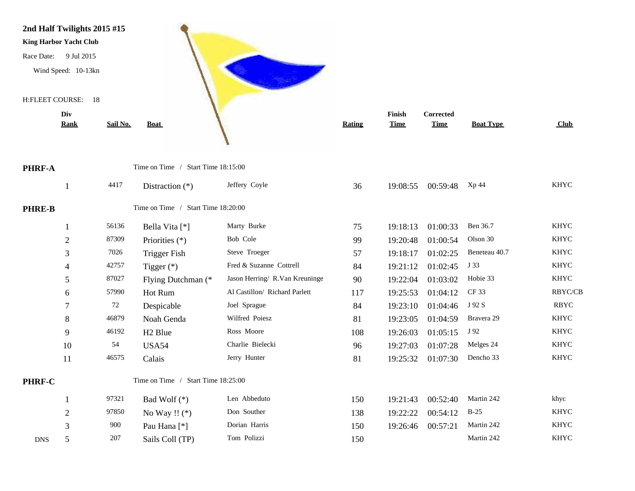

|               | DIV            |          |                                    |                                |               | r ınısn     | Corrected   |                  |             |
|---------------|----------------|----------|------------------------------------|--------------------------------|---------------|-------------|-------------|------------------|-------------|
|               | <b>Rank</b>    | Sail No. | <b>Boat</b>                        |                                | <b>Rating</b> | <b>Time</b> | <b>Time</b> | <b>Boat Type</b> | Club        |
|               |                |          |                                    |                                |               |             |             |                  |             |
| <b>PHRF-A</b> |                |          | Time on Time / Start Time 18:15:00 |                                |               |             |             |                  |             |
|               |                | 4417     | Distraction $(*)$                  | Jeffery Coyle                  | 36            | 19:08:55    | 00:59:48    | Xp 44            | <b>KHYC</b> |
| <b>PHRE-B</b> |                |          | Time on Time / Start Time 18:20:00 |                                |               |             |             |                  |             |
|               |                | 56136    | Bella Vita [*]                     | Marty Burke                    | 75            | 19:18:13    | 01:00:33    | Ben 36.7         | <b>KHYC</b> |
|               | $\overline{2}$ | 87309    | Priorities (*)                     | Bob Cole                       | 99            | 19:20:48    | 01:00:54    | Olson 30         | <b>KHYC</b> |
|               | 3              | 7026     | <b>Trigger Fish</b>                | Steve Troeger                  | 57            | 19:18:17    | 01:02:25    | Beneteau 40.7    | <b>KHYC</b> |
|               | 4              | 42757    | Tigger $(*)$                       | Fred & Suzanne Cottrell        | 84            | 19:21:12    | 01:02:45    | J 33             | <b>KHYC</b> |
|               | 5              | 87027    | Flying Dutchman (*                 | Jason Herring/ R.Van Kreuninge | 90            | 19:22:04    | 01:03:02    | Hobie 33         | <b>KHYC</b> |
|               | 6              | 57990    | Hot Rum                            | Al Castillon/ Richard Parlett  | 117           | 19:25:53    | 01:04:12    | CF 33            | RBYC/CB     |
|               | 7              | 72       | Despicable                         | Joel Sprague                   | 84            | 19:23:10    | 01:04:46    | J 92 S           | <b>RBYC</b> |
|               | 8              | 46879    | Noah Genda                         | Wilfred Poiesz                 | 81            | 19:23:05    | 01:04:59    | Bravera 29       | <b>KHYC</b> |
|               | 9              | 46192    | H <sub>2</sub> Blue                | Ross Moore                     | 108           | 19:26:03    | 01:05:15    | J 92             | <b>KHYC</b> |
|               | 10             | 54       | USA54                              | Charlie Bielecki               | 96            | 19:27:03    | 01:07:28    | Melges 24        | <b>KHYC</b> |
|               | 11             | 46575    | Calais                             | Jerry Hunter                   | 81            | 19:25:32    | 01:07:30    | Dencho 33        | <b>KHYC</b> |
| PHRF-C        |                |          | Time on Time / Start Time 18:25:00 |                                |               |             |             |                  |             |
|               |                | 97321    | Bad Wolf (*)                       | Len Abbeduto                   | 150           | 19:21:43    | 00:52:40    | Martin 242       | khyc        |
|               | $\sqrt{2}$     | 97850    | No Way !! $(*)$                    | Don Souther                    | 138           | 19:22:22    | 00:54:12    | $B-25$           | <b>KHYC</b> |
|               | 3              | 900      | Pau Hana <sup>[*]</sup>            | Dorian Harris                  | 150           | 19:26:46    | 00:57:21    | Martin 242       | <b>KHYC</b> |
| <b>DNS</b>    | 5              | 207      | Sails Coll (TP)                    | Tom Polizzi                    | 150           |             |             | Martin 242       | <b>KHYC</b> |